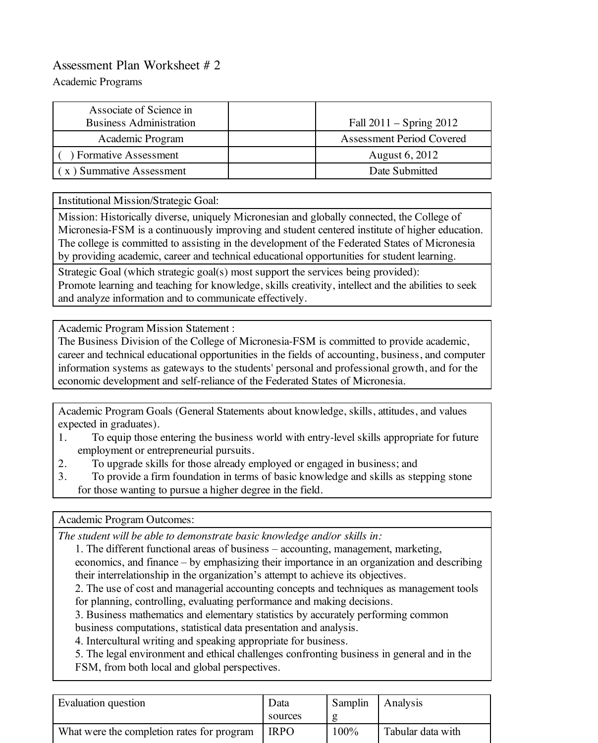## Assessment Plan Worksheet # 2

Academic Programs

| Associate of Science in<br><b>Business Administration</b> | Fall $2011 -$ Spring $2012$ |
|-----------------------------------------------------------|-----------------------------|
| Academic Program                                          | Assessment Period Covered   |
| ) Formative Assessment                                    | August 6, 2012              |
| x) Summative Assessment                                   | Date Submitted              |

Institutional Mission/Strategic Goal:

Mission: Historically diverse, uniquely Micronesian and globally connected, the College of Micronesia-FSM is a continuously improving and student centered institute of higher education. The college is committed to assisting in the development of the Federated States of Micronesia by providing academic, career and technical educational opportunities for student learning.

Strategic Goal (which strategic goal(s) most support the services being provided): Promote learning and teaching for knowledge, skills creativity, intellect and the abilities to seek and analyze information and to communicate effectively.

Academic Program Mission Statement :

The Business Division of the College of Micronesia-FSM is committed to provide academic, career and technical educational opportunities in the fields of accounting, business, and computer information systems as gateways to the students' personal and professional growth, and for the economic development and self-reliance of the Federated States of Micronesia.

Academic Program Goals (General Statements about knowledge, skills, attitudes, and values expected in graduates).

- 1. To equip those entering the business world with entry-level skills appropriate for future employment or entrepreneurial pursuits.
- 2. To upgrade skills for those already employed or engaged in business; and
- 3. To provide a firm foundation in terms of basic knowledge and skills as stepping stone for those wanting to pursue a higher degree in the field.

Academic Program Outcomes:

*The student will be able to demonstrate basic knowledge and/or skills in:*

- 1. The different functional areas of business accounting, management, marketing, economics, and finance – by emphasizing their importance in an organization and describing their interrelationship in the organization's attempt to achieve its objectives.
- 2. The use of cost and managerial accounting concepts and techniques as management tools for planning, controlling, evaluating performance and making decisions.
- 3. Business mathematics and elementary statistics by accurately performing common
- business computations, statistical data presentation and analysis.

4. Intercultural writing and speaking appropriate for business.

5. The legal environment and ethical challenges confronting business in general and in the FSM, from both local and global perspectives.

| Evaluation question                        | Data<br>sources | Samplin | Analysis          |
|--------------------------------------------|-----------------|---------|-------------------|
| What were the completion rates for program | <b>IRPO</b>     | $100\%$ | Tabular data with |